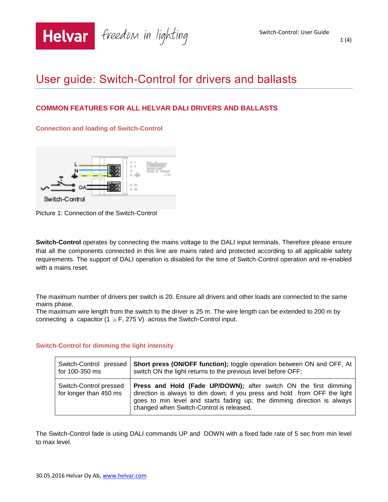

1 (4)

# User guide: Switch-Control for drivers and ballasts

# **COMMON FEATURES FOR ALL HELVAR DALI DRIVERS AND BALLASTS**

**Connection and loading of Switch-Control** 



Picture 1: Connection of the Switch-Control

**Switch-Control** operates by connecting the mains voltage to the DALI input terminals. Therefore please ensure that all the components connected in this line are mains rated and protected according to all applicable safety requirements. The support of DALI operation is disabled for the time of Switch-Control operation and re-enabled with a mains reset.

The maximum number of drivers per switch is 20. Ensure all drivers and other loads are connected to the same mains phase.

The maximum wire length from the switch to the driver is 25 m. The wire length can be extended to 200 m by connecting a capacitor  $(1 \mu F, 275 V)$  across the Switch-Control input.

## **Switch-Control for dimming the light intensity**

| Switch-Control pressed                           | <b>Short press (ON/OFF function);</b> toggle operation between ON and OFF, At                                                                                                                                                                                        |
|--------------------------------------------------|----------------------------------------------------------------------------------------------------------------------------------------------------------------------------------------------------------------------------------------------------------------------|
| for 100-350 ms                                   | switch ON the light returns to the previous level before OFF;                                                                                                                                                                                                        |
| Switch-Control pressed<br>for longer than 450 ms | Press and Hold (Fade UP/DOWN); after switch ON the first dimming<br>direction is always to dim down; if you press and hold from OFF the light<br>goes to min level and starts fading up; the dimming direction is always<br>changed when Switch-Control is released. |

The Switch-Control fade is using DALI commands UP and DOWN with a fixed fade rate of 5 sec from min level to max level.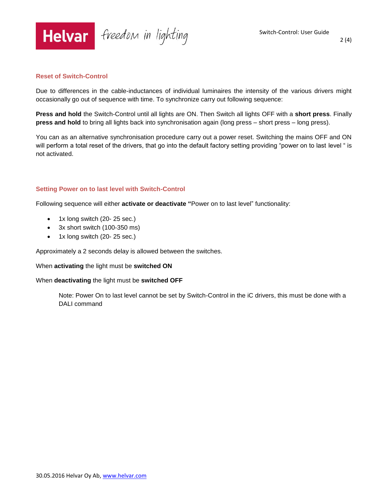

2 (4)

#### **Reset of Switch-Control**

Due to differences in the cable-inductances of individual luminaires the intensity of the various drivers might occasionally go out of sequence with time. To synchronize carry out following sequence:

**Press and hold** the Switch-Control until all lights are ON. Then Switch all lights OFF with a **short press**. Finally **press and hold** to bring all lights back into synchronisation again (long press – short press – long press).

You can as an alternative synchronisation procedure carry out a power reset. Switching the mains OFF and ON will perform a total reset of the drivers, that go into the default factory setting providing "power on to last level " is not activated.

#### **Setting Power on to last level with Switch-Control**

Following sequence will either **activate or deactivate "**Power on to last level" functionality:

- 1x long switch (20-25 sec.)
- 3x short switch (100-350 ms)
- 1x long switch (20-25 sec.)

Approximately a 2 seconds delay is allowed between the switches.

#### When **activating** the light must be **switched ON**

#### When **deactivating** the light must be **switched OFF**

Note: Power On to last level cannot be set by Switch-Control in the iC drivers, this must be done with a DALI command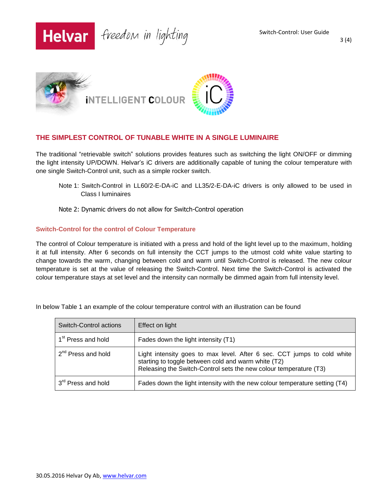

3 (4)



## **THE SIMPLEST CONTROL OF TUNABLE WHITE IN A SINGLE LUMINAIRE**

The traditional "retrievable switch" solutions provides features such as switching the light ON/OFF or dimming the light intensity UP/DOWN. Helvar's iC drivers are additionally capable of tuning the colour temperature with one single Switch-Control unit, such as a simple rocker switch.

Note 1: Switch-Control in LL60/2-E-DA-iC and LL35/2-E-DA-iC drivers is only allowed to be used in Class I luminaires

#### Note 2: Dynamic drivers do not allow for Switch-Control operation

#### **Switch-Control for the control of Colour Temperature**

The control of Colour temperature is initiated with a press and hold of the light level up to the maximum, holding it at full intensity. After 6 seconds on full intensity the CCT jumps to the utmost cold white value starting to change towards the warm, changing between cold and warm until Switch-Control is released. The new colour temperature is set at the value of releasing the Switch-Control. Next time the Switch-Control is activated the colour temperature stays at set level and the intensity can normally be dimmed again from full intensity level.

| Switch-Control actions         | Effect on light                                                                                                                                                                                     |
|--------------------------------|-----------------------------------------------------------------------------------------------------------------------------------------------------------------------------------------------------|
| 1 <sup>st</sup> Press and hold | Fades down the light intensity (T1)                                                                                                                                                                 |
| 2 <sup>nd</sup> Press and hold | Light intensity goes to max level. After 6 sec. CCT jumps to cold white<br>starting to toggle between cold and warm white (T2)<br>Releasing the Switch-Control sets the new colour temperature (T3) |
| 3 <sup>rd</sup> Press and hold | Fades down the light intensity with the new colour temperature setting (T4)                                                                                                                         |

In below Table 1 an example of the colour temperature control with an illustration can be found